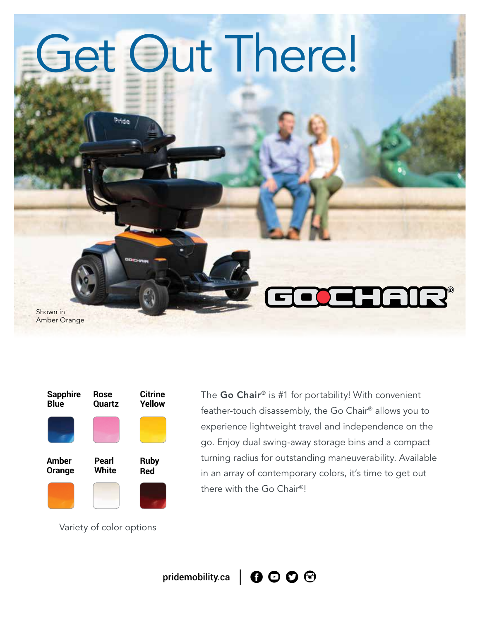# Get Out There!

Shown in Amber Orange



Pride

The Go Chair® is #1 for portability! With convenient feather-touch disassembly, the Go Chair® allows you to experience lightweight travel and independence on the go. Enjoy dual swing-away storage bins and a compact turning radius for outstanding maneuverability. Available in an array of contemporary colors, it's time to get out there with the Go Chair®!

Variety of color options